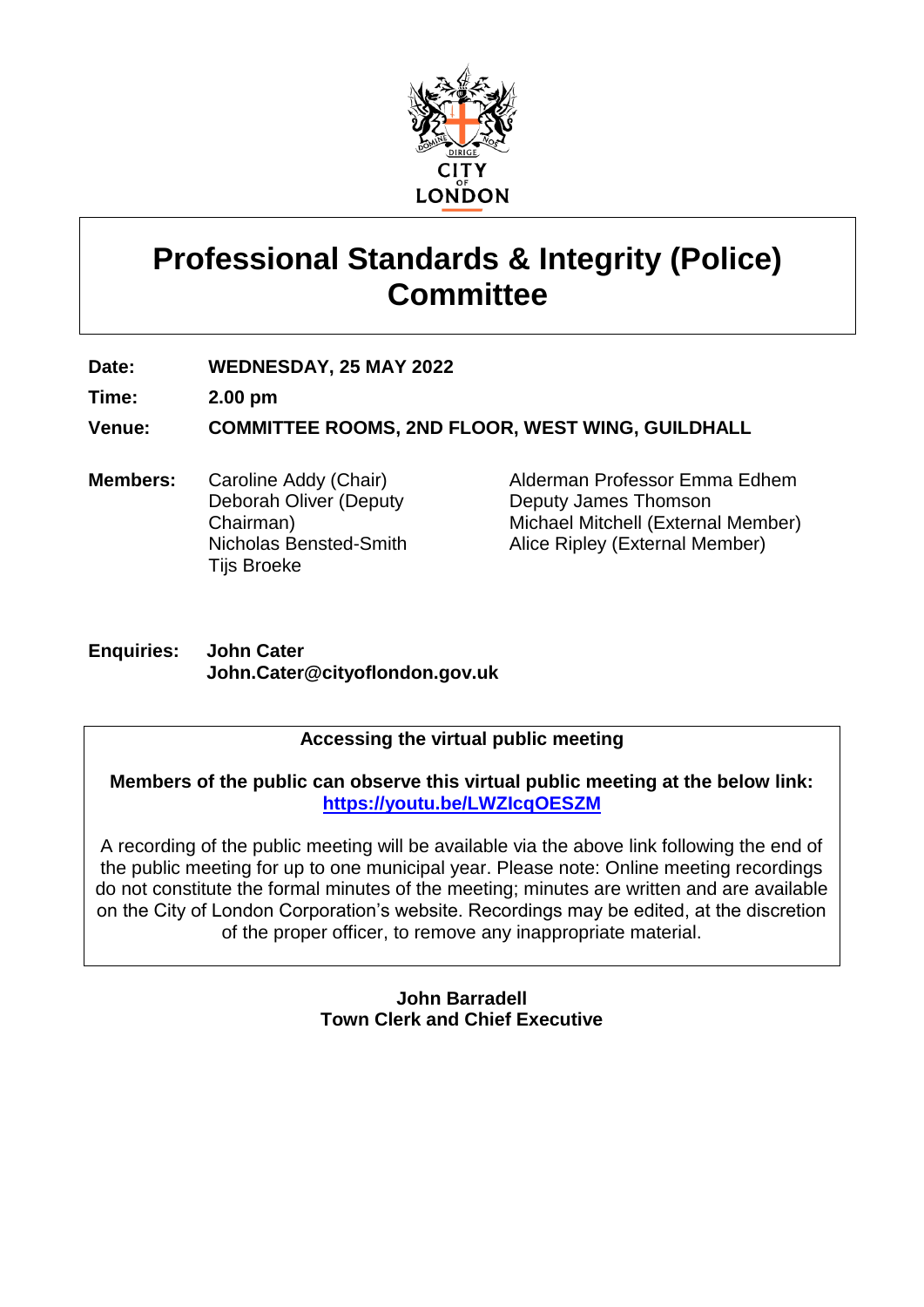

# **Professional Standards & Integrity (Police) Committee**

**Date: WEDNESDAY, 25 MAY 2022**

**Time: 2.00 pm**

**Venue: COMMITTEE ROOMS, 2ND FLOOR, WEST WING, GUILDHALL**

**Members:** Caroline Addy (Chair) Deborah Oliver (Deputy Chairman) Nicholas Bensted-Smith Tijs Broeke

Alderman Professor Emma Edhem Deputy James Thomson Michael Mitchell (External Member) Alice Ripley (External Member)

### **Enquiries: John Cater John.Cater@cityoflondon.gov.uk**

# **Accessing the virtual public meeting**

**Members of the public can observe this virtual public meeting at the below link: <https://youtu.be/LWZIcqOESZM>**

A recording of the public meeting will be available via the above link following the end of the public meeting for up to one municipal year. Please note: Online meeting recordings do not constitute the formal minutes of the meeting; minutes are written and are available on the City of London Corporation's website. Recordings may be edited, at the discretion of the proper officer, to remove any inappropriate material.

> **John Barradell Town Clerk and Chief Executive**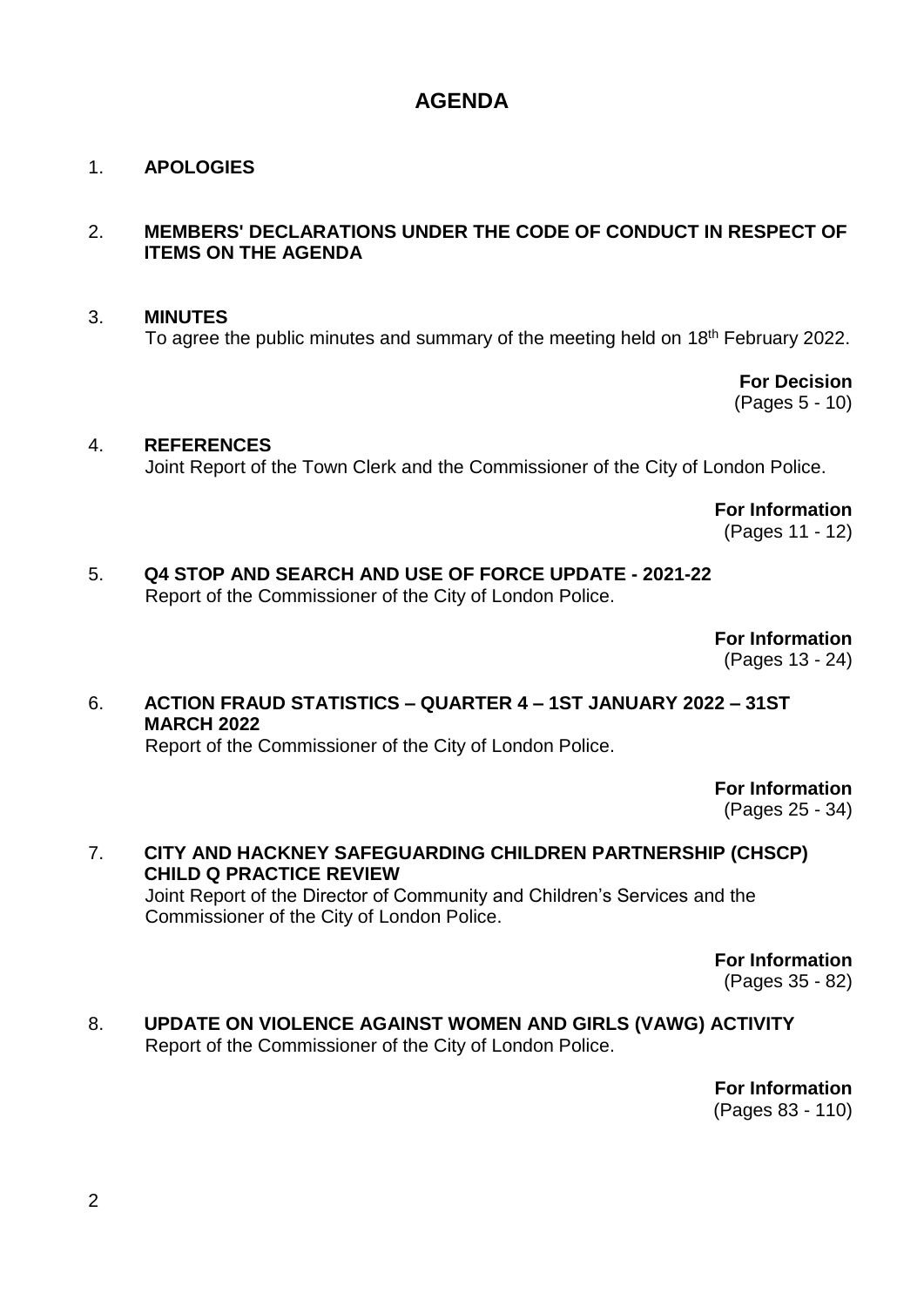# **AGENDA**

### 1. **APOLOGIES**

## 2. **MEMBERS' DECLARATIONS UNDER THE CODE OF CONDUCT IN RESPECT OF ITEMS ON THE AGENDA**

#### 3. **MINUTES**

To agree the public minutes and summary of the meeting held on 18<sup>th</sup> February 2022.

**For Decision** (Pages 5 - 10)

#### 4. **REFERENCES**

Joint Report of the Town Clerk and the Commissioner of the City of London Police.

**For Information** (Pages 11 - 12)

# 5. **Q4 STOP AND SEARCH AND USE OF FORCE UPDATE - 2021-22**

Report of the Commissioner of the City of London Police.

**For Information** (Pages 13 - 24)

# 6. **ACTION FRAUD STATISTICS – QUARTER 4 – 1ST JANUARY 2022 – 31ST MARCH 2022**

Report of the Commissioner of the City of London Police.

**For Information**

(Pages 25 - 34)

7. **CITY AND HACKNEY SAFEGUARDING CHILDREN PARTNERSHIP (CHSCP) CHILD Q PRACTICE REVIEW** Joint Report of the Director of Community and Children's Services and the Commissioner of the City of London Police.

> **For Information** (Pages 35 - 82)

8. **UPDATE ON VIOLENCE AGAINST WOMEN AND GIRLS (VAWG) ACTIVITY** Report of the Commissioner of the City of London Police.

> **For Information** (Pages 83 - 110)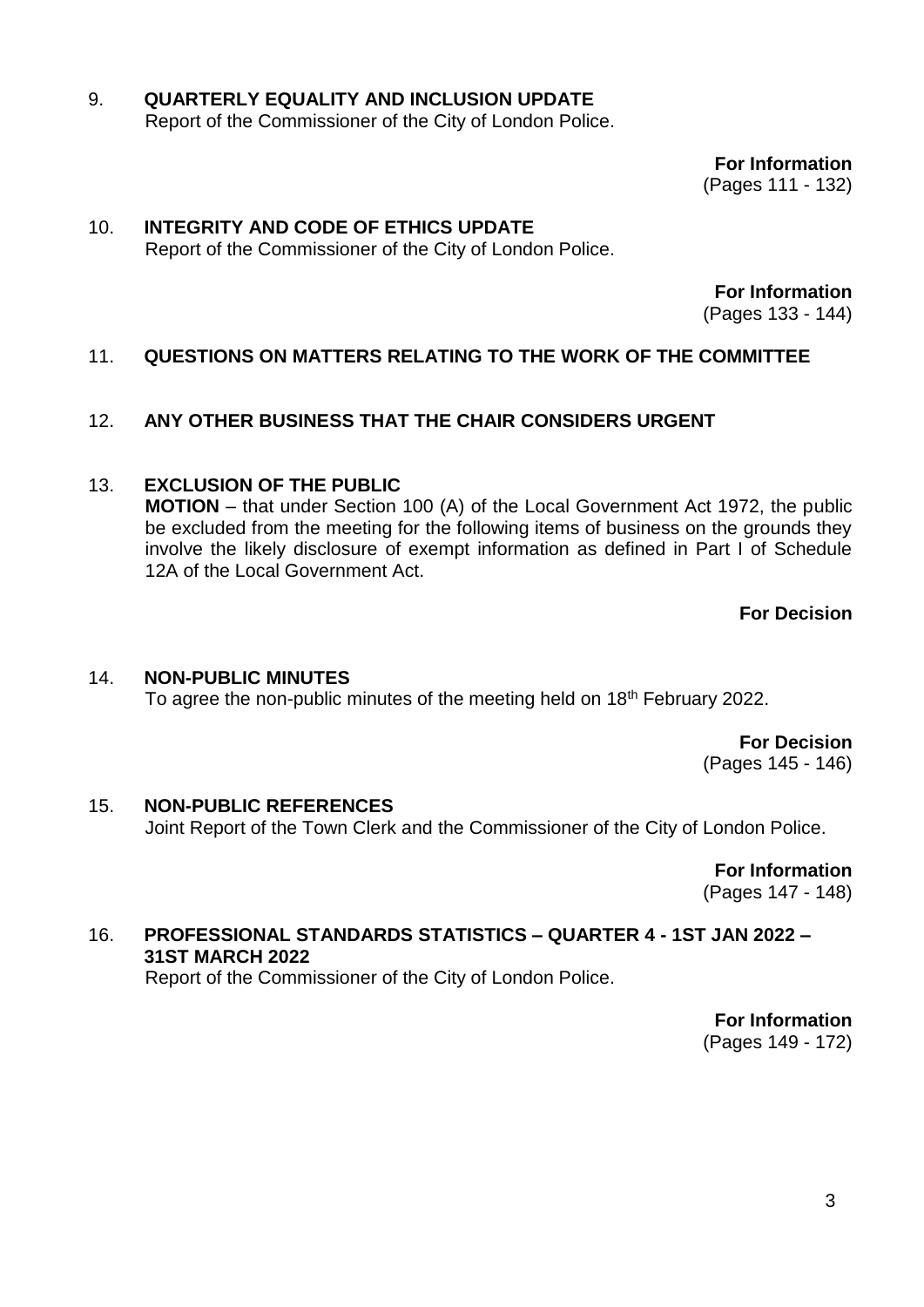### 9. **QUARTERLY EQUALITY AND INCLUSION UPDATE** Report of the Commissioner of the City of London Police.

**For Information**

(Pages 111 - 132)

#### 10. **INTEGRITY AND CODE OF ETHICS UPDATE** Report of the Commissioner of the City of London Police.

**For Information**

(Pages 133 - 144)

# 11. **QUESTIONS ON MATTERS RELATING TO THE WORK OF THE COMMITTEE**

### 12. **ANY OTHER BUSINESS THAT THE CHAIR CONSIDERS URGENT**

### 13. **EXCLUSION OF THE PUBLIC**

**MOTION** – that under Section 100 (A) of the Local Government Act 1972, the public be excluded from the meeting for the following items of business on the grounds they involve the likely disclosure of exempt information as defined in Part I of Schedule 12A of the Local Government Act.

**For Decision**

### 14. **NON-PUBLIC MINUTES**

To agree the non-public minutes of the meeting held on 18<sup>th</sup> February 2022.

**For Decision** (Pages 145 - 146)

# 15. **NON-PUBLIC REFERENCES**

Joint Report of the Town Clerk and the Commissioner of the City of London Police.

**For Information** (Pages 147 - 148)

### 16. **PROFESSIONAL STANDARDS STATISTICS – QUARTER 4 - 1ST JAN 2022 – 31ST MARCH 2022**

Report of the Commissioner of the City of London Police.

**For Information** (Pages 149 - 172)